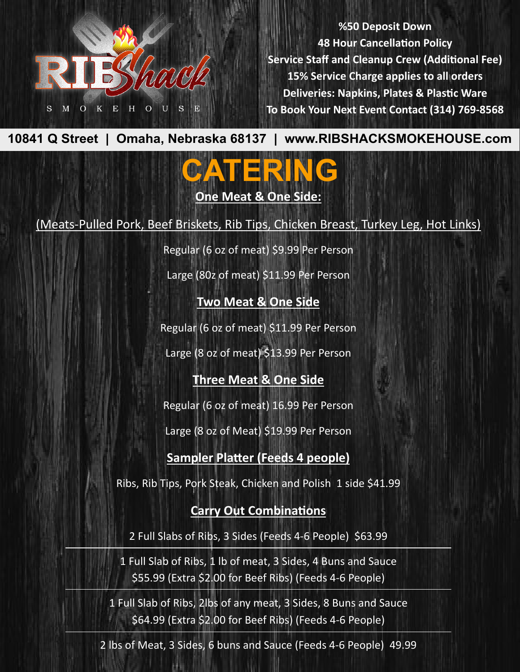

**%50 Deposit Down 48 Hour Cancellation Policy Service Staff and Cleanup Crew (Additional Fee) 15% Service Charge applies to all orders Deliveries: Napkins, Plates & Plas�c Ware To Book Your Next Event Contact (314) 769-8568**

**10841 Q Street | Omaha, Nebraska 68137 | www.RIBSHACKSMOKEHOUSE.com**

# **CATERING**

**One Meat & One Side:**

(Meats-Pulled Pork, Beef Briskets, Rib Tips, Chicken Breast, Turkey Leg, Hot Links)

Regular (6 oz of meat) \$9.99 Per Person

Large (80z of meat) \$11.99 Per Person

**Two Meat & One Side**

Regular (6 oz of meat) \$11.99 Per Person

Large (8 oz of meat) \$13.99 Per Person

## **Three Meat & One Side**

Regular (6 oz of meat) 16.99 Per Person

Large (8 oz of Meat) \$19.99 Per Person

### **Sampler Platter (Feeds 4 people)**

Ribs, Rib Tips, Pork Steak, Chicken and Polish 1 side \$41.99

### **Carry Out Combinations**

2 Full Slabs of Ribs, 3 Sides (Feeds 4-6 People) \$63.99

1 Full Slab of Ribs, 1 lb of meat, 3 Sides, 4 Buns and Sauce \$55.99 (Extra \$2.00 for Beef Ribs) (Feeds 4-6 People)

1 Full Slab of Ribs, 2lbs of any meat, 3 Sides, 8 Buns and Sauce \$64.99 (Extra \$2.00 for Beef Ribs) (Feeds 4-6 People)

2 lbs of Meat, 3 Sides, 6 buns and Sauce (Feeds 4-6 People) 49.99